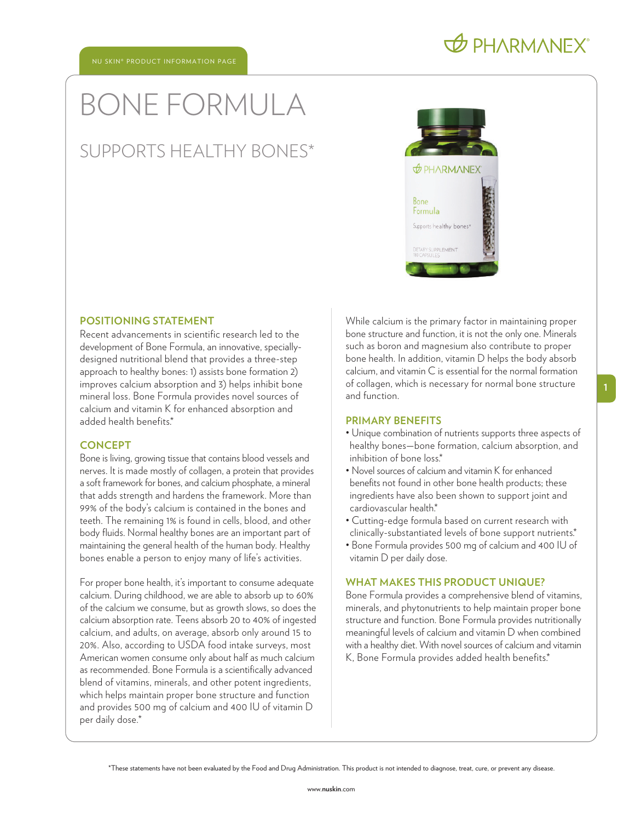# BONE FORMULA

### SUPPORTS HEALTHY BONES\*



#### **POSITIONING STATEMENT**

Recent advancements in scientific research led to the development of Bone Formula, an innovative, speciallydesigned nutritional blend that provides a three-step approach to healthy bones: 1) assists bone formation 2) improves calcium absorption and 3) helps inhibit bone mineral loss. Bone Formula provides novel sources of calcium and vitamin K for enhanced absorption and added health benefits.\*

#### **CONCEPT**

Bone is living, growing tissue that contains blood vessels and nerves. It is made mostly of collagen, a protein that provides a soft framework for bones, and calcium phosphate, a mineral that adds strength and hardens the framework. More than 99% of the body's calcium is contained in the bones and teeth. The remaining 1% is found in cells, blood, and other body fluids. Normal healthy bones are an important part of maintaining the general health of the human body. Healthy bones enable a person to enjoy many of life's activities.

For proper bone health, it's important to consume adequate calcium. During childhood, we are able to absorb up to 60% of the calcium we consume, but as growth slows, so does the calcium absorption rate. Teens absorb 20 to 40% of ingested calcium, and adults, on average, absorb only around 15 to 20%. Also, according to USDA food intake surveys, most American women consume only about half as much calcium as recommended. Bone Formula is a scientifically advanced blend of vitamins, minerals, and other potent ingredients, which helps maintain proper bone structure and function and provides 500 mg of calcium and 400 IU of vitamin D per daily dose.\*

While calcium is the primary factor in maintaining proper bone structure and function, it is not the only one. Minerals such as boron and magnesium also contribute to proper bone health. In addition, vitamin D helps the body absorb calcium, and vitamin C is essential for the normal formation of collagen, which is necessary for normal bone structure and function.

#### **PRIMARY BENEFITS**

- Unique combination of nutrients supports three aspects of healthy bones—bone formation, calcium absorption, and inhibition of bone loss.\*
- Novel sources of calcium and vitamin K for enhanced benefits not found in other bone health products; these ingredients have also been shown to support joint and cardiovascular health.\*
- Cutting-edge formula based on current research with clinically-substantiated levels of bone support nutrients.\*
- Bone Formula provides 500 mg of calcium and 400 IU of vitamin D per daily dose.

#### **WHAT MAKES THIS PRODUCT UNIQUE?**

Bone Formula provides a comprehensive blend of vitamins, minerals, and phytonutrients to help maintain proper bone structure and function. Bone Formula provides nutritionally meaningful levels of calcium and vitamin D when combined with a healthy diet. With novel sources of calcium and vitamin K, Bone Formula provides added health benefits.\*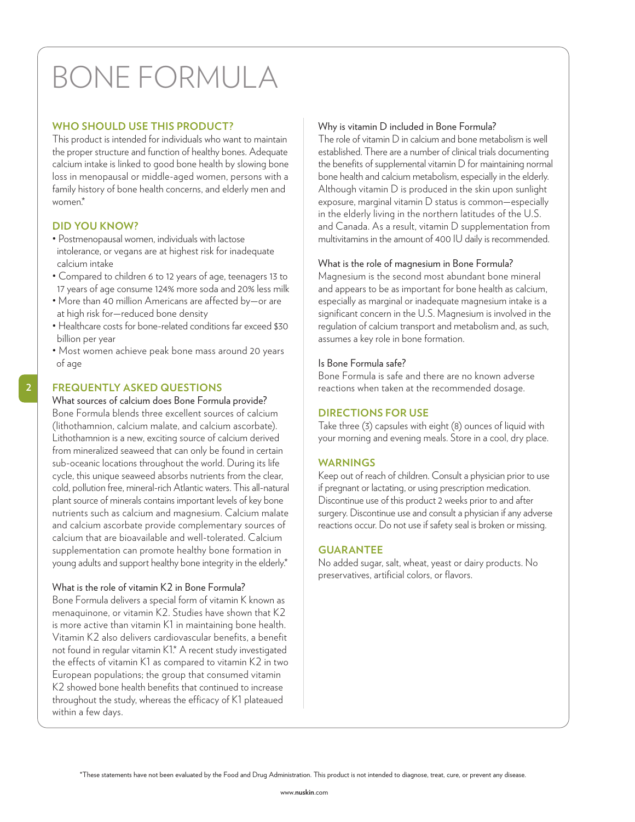## BONE FORMULA

#### **WHO SHOULD USE THIS PRODUCT?**

This product is intended for individuals who want to maintain the proper structure and function of healthy bones. Adequate calcium intake is linked to good bone health by slowing bone loss in menopausal or middle-aged women, persons with a family history of bone health concerns, and elderly men and women<sup>\*</sup>

#### **DID YOU KNOW?**

**2**

- Postmenopausal women, individuals with lactose intolerance, or vegans are at highest risk for inadequate calcium intake
- Compared to children 6 to 12 years of age, teenagers 13 to 17 years of age consume 124% more soda and 20% less milk
- More than 40 million Americans are affected by—or are at high risk for—reduced bone density
- Healthcare costs for bone-related conditions far exceed \$30 billion per year
- Most women achieve peak bone mass around 20 years of age

#### **FREQUENTLY ASKED QUESTIONS**

What sources of calcium does Bone Formula provide? Bone Formula blends three excellent sources of calcium (lithothamnion, calcium malate, and calcium ascorbate). Lithothamnion is a new, exciting source of calcium derived from mineralized seaweed that can only be found in certain sub-oceanic locations throughout the world. During its life cycle, this unique seaweed absorbs nutrients from the clear, cold, pollution free, mineral-rich Atlantic waters. This all-natural plant source of minerals contains important levels of key bone nutrients such as calcium and magnesium. Calcium malate and calcium ascorbate provide complementary sources of calcium that are bioavailable and well-tolerated. Calcium supplementation can promote healthy bone formation in young adults and support healthy bone integrity in the elderly.\*

#### What is the role of vitamin K2 in Bone Formula?

Bone Formula delivers a special form of vitamin K known as menaquinone, or vitamin K2. Studies have shown that K2 is more active than vitamin K1 in maintaining bone health. Vitamin K2 also delivers cardiovascular benefits, a benefit not found in regular vitamin K1.\* A recent study investigated the effects of vitamin K1 as compared to vitamin K2 in two European populations; the group that consumed vitamin K2 showed bone health benefits that continued to increase throughout the study, whereas the efficacy of K1 plateaued within a few days.

#### Why is vitamin D included in Bone Formula?

The role of vitamin D in calcium and bone metabolism is well established. There are a number of clinical trials documenting the benefits of supplemental vitamin D for maintaining normal bone health and calcium metabolism, especially in the elderly. Although vitamin D is produced in the skin upon sunlight exposure, marginal vitamin D status is common—especially in the elderly living in the northern latitudes of the U.S. and Canada. As a result, vitamin D supplementation from multivitamins in the amount of 400 IU daily is recommended.

#### What is the role of magnesium in Bone Formula?

Magnesium is the second most abundant bone mineral and appears to be as important for bone health as calcium, especially as marginal or inadequate magnesium intake is a significant concern in the U.S. Magnesium is involved in the regulation of calcium transport and metabolism and, as such, assumes a key role in bone formation.

#### Is Bone Formula safe?

Bone Formula is safe and there are no known adverse reactions when taken at the recommended dosage.

#### **DIRECTIONS FOR USE**

Take three (3) capsules with eight (8) ounces of liquid with your morning and evening meals. Store in a cool, dry place.

#### **WARNINGS**

Keep out of reach of children. Consult a physician prior to use if pregnant or lactating, or using prescription medication. Discontinue use of this product 2 weeks prior to and after surgery. Discontinue use and consult a physician if any adverse reactions occur. Do not use if safety seal is broken or missing.

#### **GUARANTEE**

No added sugar, salt, wheat, yeast or dairy products. No preservatives, artificial colors, or flavors.